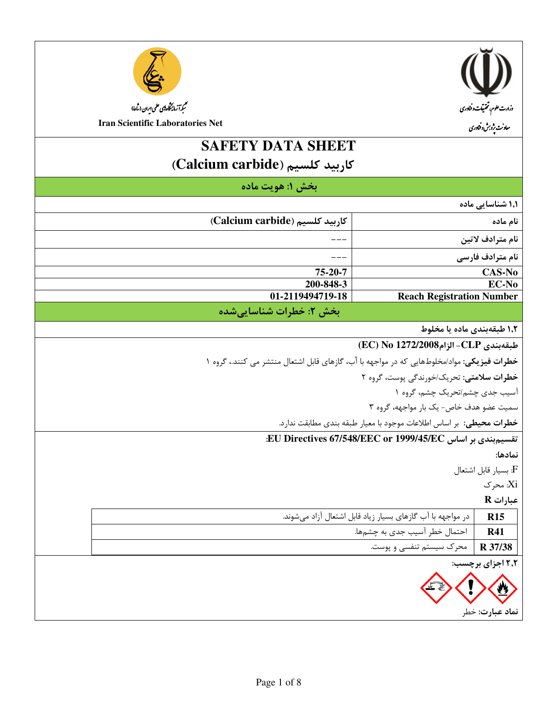



# **SAFETY DATA SHEET**

(Calcium carbide) كاربيد كلسيم

|                         |                                                                            | بخش 1: هويت ماده                                                                           |  |
|-------------------------|----------------------------------------------------------------------------|--------------------------------------------------------------------------------------------|--|
| '۱٫ شناسایی ماده        |                                                                            |                                                                                            |  |
| ام ماده                 |                                                                            | (Calcium carbide) كاربيد كلسيم                                                             |  |
| ام مترادف لاتين         |                                                                            |                                                                                            |  |
| ام مترادف فارس <i>ی</i> |                                                                            |                                                                                            |  |
| CAS-No                  |                                                                            | 75-20-7                                                                                    |  |
| EC-No                   |                                                                            | 200-848-3                                                                                  |  |
|                         | <b>Reach Registration Number</b>                                           | 01-2119494719-18                                                                           |  |
|                         |                                                                            | بخش ٢: خطرات شناسايي شده                                                                   |  |
|                         | ۱٫۱ طبقهبندی ماده یا مخلوط                                                 |                                                                                            |  |
|                         | للبقهبندى CLP- الزام2008/EC) No 1272                                       |                                                                                            |  |
|                         |                                                                            | خطرات فیزیکی: مواد/مخلوطهایی که در مواجهه با آب، گازهای قابل اشتعال منتشر می کنند.، گروه ۱ |  |
|                         | خطرات سلامتی: تحریک/خورندگی پوست، گروه ۲                                   |                                                                                            |  |
|                         | .<br>سیب جدی چشم/تحریک چشم، گروه ۱                                         |                                                                                            |  |
|                         | سمیت عضو هدف خاص- یک بار مواجهه، گروه ۳                                    |                                                                                            |  |
|                         | <b>خطرات محیطی:</b> بر اساس اطلاعات موجود با معیار طبقه بندی مطابقت ندارد. |                                                                                            |  |
|                         | نقسیم بندی بر اساس EU Directives 67/548/EEC or 1999/45/EC:                 |                                                                                            |  |
| ﻤﺎﺩﻫﺎ:                  |                                                                            |                                                                                            |  |
| F: بسيار قابل اشتعال    |                                                                            |                                                                                            |  |
| :X: محرک                |                                                                            |                                                                                            |  |
| عبارات R                |                                                                            |                                                                                            |  |
| <b>R15</b>              | در مواجهه با آب گازهای بسیار زیاد قابل اشتعال آزاد میشوند.                 |                                                                                            |  |
| <b>R41</b>              | احتمال خطر آسیب جدی به چشمها.                                              |                                                                                            |  |
| R 37/38                 | محرک سیستم تنفسی و پوست.                                                   |                                                                                            |  |
| ۲٫۱ اجزای برچسب:        |                                                                            |                                                                                            |  |
|                         |                                                                            |                                                                                            |  |
| 發                       |                                                                            |                                                                                            |  |
|                         |                                                                            |                                                                                            |  |

نماد عبارت: خطر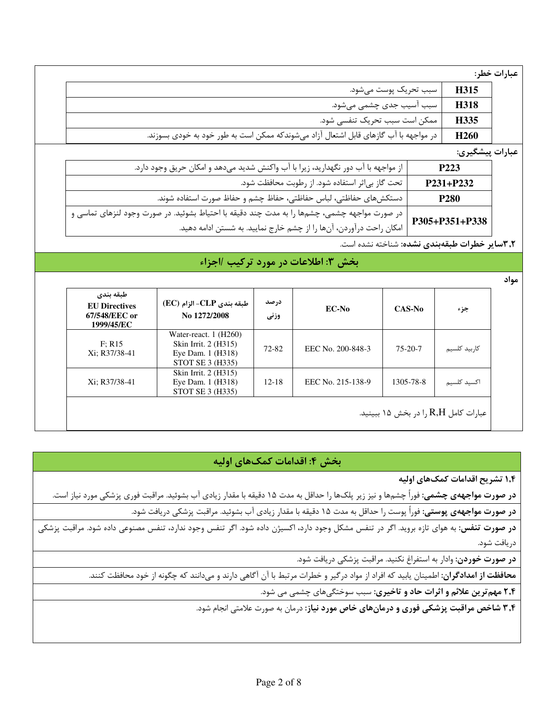عبارات خطر:

| سبب تحريک پوست مي شود.                                                               | H315             |
|--------------------------------------------------------------------------------------|------------------|
| سبب آسیب جدی چشمی میشود.                                                             | H318             |
| ممكن است سبب تحريك تنفسي شود.                                                        | H335             |
| در مواجهه با آب گازهای قابل اشتعال آزاد میشوندکه ممکن است به طور خود به خودی بسوزند. | H <sub>260</sub> |

عبارات پيشگيري:

| از مواجهه با آب دور نگهدارید، زیرا با آب واکنش شدید میدهد و امکان حریق وجود دارد.<br>P223                                                                                             |  |
|---------------------------------------------------------------------------------------------------------------------------------------------------------------------------------------|--|
| تحت گاز بی ثر استفاده شود. از رطوبت محافظت شود.<br>P231+P232                                                                                                                          |  |
| دستكشهاى حفاظتي، لباس حفاظتي، حفاظ چشم و حفاظ صورت استفاده شوند.<br><b>P280</b>                                                                                                       |  |
| در صورت مواجهه چشمی، چشمها را به مدت چند دقیقه با احتیاط بشوئید. در صورت وجود لنزهای تماسی و<br>امکان راحت درآوردن، آنها را از چشم خارج نمایید. به شستن ادامه دهید.<br>P305+P351+P338 |  |
|                                                                                                                                                                                       |  |

۳٫۲سایر خطرات طبقهبندی نشده: شناخته نشده است.

# بخش ٣: اطلاعات در مورد تركيب /اجزاء

مواد

| طبقه بندى<br><b>EU</b> Directives<br>67/548/EEC or<br>1999/45/EC | طبقه بندى CLP- الزام (EC)<br>No 1272/2008                                              | در صد<br>وزنى | EC-No             | $CAS-No$      | جزء           |
|------------------------------------------------------------------|----------------------------------------------------------------------------------------|---------------|-------------------|---------------|---------------|
| F: R15<br>Xi; R37/38-41                                          | Water-react. 1 (H260)<br>Skin Irrit. 2 (H315)<br>Eye Dam. 1 (H318)<br>STOT SE 3 (H335) | 72-82         | EEC No. 200-848-3 | $75 - 20 - 7$ | کا, بید کلسیم |
| Xi; R37/38-41                                                    | Skin Irrit. 2 (H315)<br>Eye Dam. 1 (H318)<br>STOT SE 3 (H335)                          | $12 - 18$     | EEC No. 215-138-9 | 1305-78-8     | اكسيد كلسيم   |

# بخش ۴: اقدامات کمکهای اولیه

۱٫۴ تشریح اقدامات کمکهای اولیه

**در صورت مواجههی چشمی:** فوراً چشمها و نیز زیر پلکها را حداقل به مدت ۱۵ دقیقه با مقدار زیادی آب بشوئید. مراقبت فوری پزشکی مورد نیاز است.

**در صورت مواجههی پوستی:** فوراً پوست را حداقل به مدت ۱۵ دقیقه با مقدار زیادی آب بشوئید. مراقبت پزشکی دریافت شود.

**در صورت تنفس:** به هوای تازه بروید. اگر در تنفس مشکل وجود دارد، اکسیژن داده شود. اگر تنفس وجود ندارد، تنفس مصنوعی داده شود. مراقبت پزشکی دريافت شود.

**در صورت خوردن**: وادار به استفراغ نكنيد. مراقبت پزشكي دريافت شود.

**محافظت از امدادگران**: اطمینان یابید که افراد از مواد درگیر و خطرات مرتبط با آن آگاهی دارند و میدانند که چگونه از خود محافظت کنند.

۲٬۴ مهم ترین علائم و اثرات حاد و تاخیری: سبب سوختگیهای چشمی می شود.

۳٫۴ شاخص مراقبت پزشکی فوری و درمانهای خاص مورد نیاز: درمان به صورت علامتی انجام شود.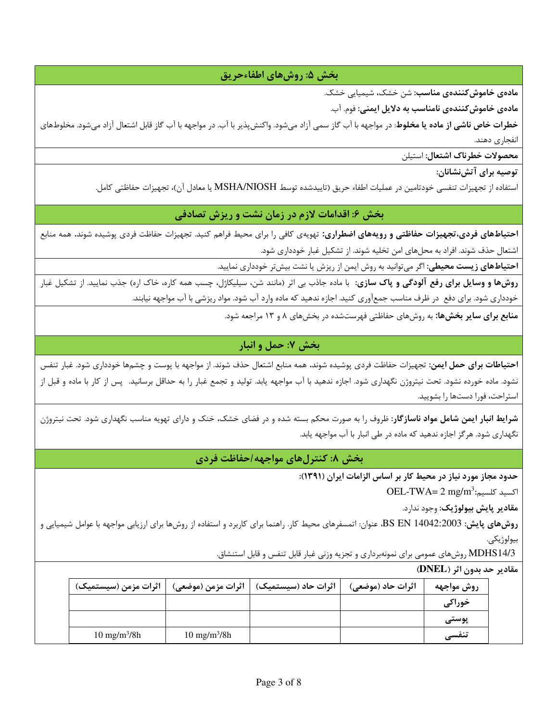### بخش ۵: روشهای اطفاءحریق

مادەي خاموش كنندەي مناسب: شن خشک، شیمیایی خشک.

مادەي خاموش كنندەي نامناسب بە دلايل ايمنى: فوم. آب.

**خطرات خاص ناشی از ماده یا مخلوط**: در مواجهه با آب گاز سمی آزاد میشود. واکنشپذیر با آب. در مواجهه با آب گاز قابل اشتعال آزاد میشود. مخلوطهای انفجاري دهند.

محصولات خطرناك اشتعال: استيلن

توصيه براي آتش;نشانان:

استفاده از تجهیزات تنفسی خودتامین در عملیات اطفاء حریق (تاییدشده توسط MSHA/NIOSH یا معادل آن)، تجهیزات حفاظتی کامل.

## بخش ۶: اقدامات لازم در زمان نشت و ریزش تصادفی

**احتیاطهای فردی،تجهیزات حفاظتی و رویههای اضطراری:** تهویهی کافی را برای محیط فراهم کنید. تجهیزات حفاظت فردی پوشیده شوند. همه منابع اشتعال حذف شوند. افراد به محلهای امن تخلیه شوند. از تشکیل غبار خودداری شود.

**احتیاطهای زیست محیطی**: اگر میتوانید به روش ایمن از ریزش یا نشت بیشتر خودداری نمایید.

**روشها و وسایل برای رفع آلودگی و پاک سازی**: با ماده جاذب بی اثر (مانند شن، سیلیکاژل، چسب همه کاره، خاک اره) جذب نمایید. از تشکیل غبار خودداری شود. برای دفع ً در ظرف مناسب جمعآوری کنید. اجازه ندهید که ماده وارد آب شود. مواد ریزشی با آب مواجهه نیابند.

منابع برای سایر بخشها: به روشهای حفاظتی فهرستشده در بخشهای ۸ و ۱۳ مراجعه شود.

# بخش ۷: حمل و انبار

**احتیاطات برای حمل ایمن**: تجهیزات حفاظت فردی پوشیده شوند. همه منابع اشتعال حذف شوند. از مواجهه با پوست و چشمها خودداری شود. غبار تنفس نشود. ماده خورده نشود. تحت نیتروژن نگهداری شود. اجازه ندهید با آب مواجهه یابد. تولید و تجمع غبار را به حداقل برسانید. پس از کار با ماده و قبل از استراحت، فورا دستها را بشوييد.

شرایط انبار ایمن شامل مواد ناسازگار: ظروف را به صورت محکم بسته شده و در فضای خشک، خنک و دارای تهویه مناسب نگهداری شود. تحت نیتروژن نگهداری شود. هرگز اجازه ندهید که ماده در طی انبار با آب مواجهه یابد.

بخش ۸: کنترلهای مواجهه/حفاظت فردی

حدود مجاز مورد نیاز در محیط کار بر اساس الزامات ایران (۱۳۹۱):

 $OEL$ -TWA=  $2 \text{ mg/m}^3$ اكسيد كلسيم

مقادير پايش بيولوژيک: وجود ندارد.

**روشهای پایش: BS EN 1**4042:2003، عنوان: اتمسفرهای محیط کار. راهنما برای کاربرد و استفاده از روشها برای ارزیابی مواجهه با عوامل شیمیایی و بيولوژيکي.

MDHS14/3 روشهای عمومی برای نمونهبرداری و تجزیه وزنی غبار قابل تنفس و قابل استنشاق.

#### مقادير حد بدون اثر (DNEL)

| اثرات مزمن (سیستمیک)   | \   اثرات مزمن (موضعى) | اثرات حاد (سیستمیک) | اثرات حاد (موضعی) | روش مواجهه |
|------------------------|------------------------|---------------------|-------------------|------------|
|                        |                        |                     |                   | خوراكى     |
|                        |                        |                     |                   | پوستی      |
| $10 \text{ mg/m}^3/8h$ | $10 \text{ mg/m}^3/8h$ |                     |                   | تنفسى      |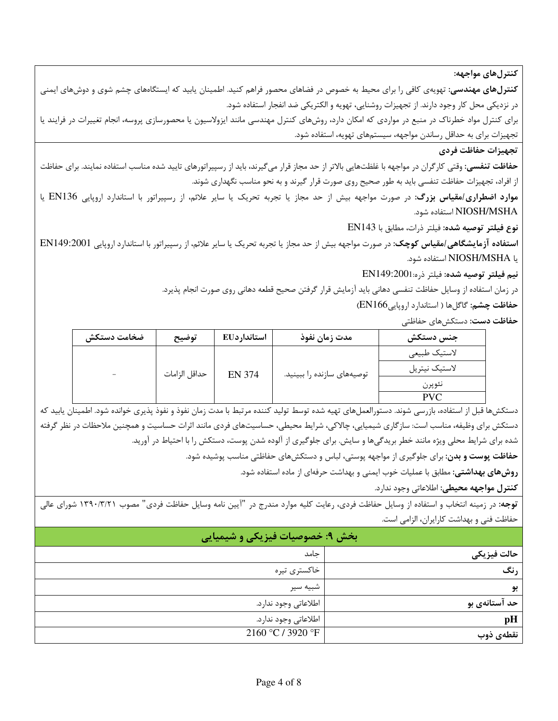كنترل هاي مواجهه:

**کنترلهای مهندسی**: تهویهی کافی را برای محیط به خصوص در فضاهای محصور فراهم کنید. اطمینان یابید که ایستگاههای چشم شوی و دوشهای ایمنی در نزدیکی محل کار وجود دارند. از تجهیزات روشنایی، تهویه و الکتریکی ضد انفجار استفاده شود.

برای کنترل مواد خطرناک در منبع در مواردی که امکان دارد، روشهای کنترل مهندسی مانند ایزولاسیون یا محصورسازی پروسه، انجام تغییرات در فرایند یا تجهیزات برای به حداقل رساندن مواجهه، سیستمهای تهویه، استفاده شود.

#### تجهيزات حفاظت فردى

**حفاظت تنفسی:** وقتی کارگران در مواجهه با غلظتهایی بالاتر از حد مجاز قرار میگیرند، باید از رسپیراتورهای تایید شده مناسب استفاده نمایند. برای حفاظت از افراد، تجهیزات حفاظت تنفسی باید به طور صحیح روی صورت قرار گیرند و به نحو مناسب نگهداری شوند.

موارد اضطراری/مقیاس بزرگ: در صورت مواجهه بیش از حد مجاز یا تجربه تحریک یا سایر علائم، از رسپیراتور با استاندارد اروپایی EN136 یا NIOSH/MSHA استفاده شود.

نوع فيلتر توصيه شده: فيلتر ذرات، مطابق با EN143

**استفاده آزمایشگاهی/مقیاس کوچک**: در صورت مواجهه بیش از حد مجاز یا تجربه تحریک یا سایر علائم، از رسپیراتور با استاندارد اروپایی EN149:2001 يا NIOSH/MSHA استفاده شود.

نيم فيلتر توصيه شده: فيلتر ذره: EN149:2001

در زمان استفاده از وسایل حفاظت تنفسی دهانی باید آزمایش قرار گرفتن صحیح قطعه دهانی روی صورت انجام پذیرد.

حفاظت چشم: گاگلها ( استاندارد اروپاییEN166)

**حفاظت دست:** دستکش های حفاظتی

| ضخامت دستكش | توضيح         | استاندار دEU  | مدت زمان نفوذ              | جنس دستكش     |
|-------------|---------------|---------------|----------------------------|---------------|
|             | حداقل الزامات | <b>EN 374</b> | توصیههای سازنده را ببینید. | لاستيك طبيعي  |
|             |               |               |                            | لاستيك نيتريل |
|             |               |               |                            | نئوپرن        |
|             |               |               |                            | <b>PVC</b>    |

دستکش۵ما قبل از استفاده، بازرسی شوند. دستورالعمل۱مای تهیه شده توسط تولید کننده مرتبط با مدت زمان نفوذ و نفوذ یذیری خوانده شود. اطمینان پابید که دستکش برای وظیفه، مناسب است: سازگاری شیمیایی، چالاکی، شرایط محیطی، حساسیتهای فردی مانند اثرات حساسیت و همچنین ملاحظات در نظر گرفته شده برای شرایط محلی ویژه مانند خطر بریدگیها و سایش. برای جلوگیری از آلوده شدن پوست، دستکش را با احتیاط در آورید.

حفاظت پوست و بدن: برای جلوگیری از مواجهه پوستی، لباس و دستکشهای حفاظتی مناسب پوشیده شود.

روشهای بهداشتی: مطابق با عملیات خوب ایمنی و بهداشت حرفهای از ماده استفاده شود.

**كنترل مواجهه محيطي:** اطلاعاتي وجود ندارد.

توجه: در زمینه انتخاب و استفاده از وسایل حفاظت فردی، رعایت کلیه موارد مندرج در "آیین نامه وسایل حفاظت فردی" مصوب ۱۳۹۰/۳/۲۱ شورای عالی حفاظت فنی و بهداشت کارایران، الزامی است.

|               | بخش ۹: خصوصیات فیزیکی و شیمیایی |
|---------------|---------------------------------|
| حالت فيزيكي   | جامد                            |
| ر نگ          | خاكسترى تيره                    |
| بو            | شبيه سير                        |
| حد آستانهی بو | اطلاعاتي وجود ندارد.            |
| pH            | اطلاعاتي وجود ندارد.            |
| نقطهى ذوب     | 2160 °C / 3920 °F               |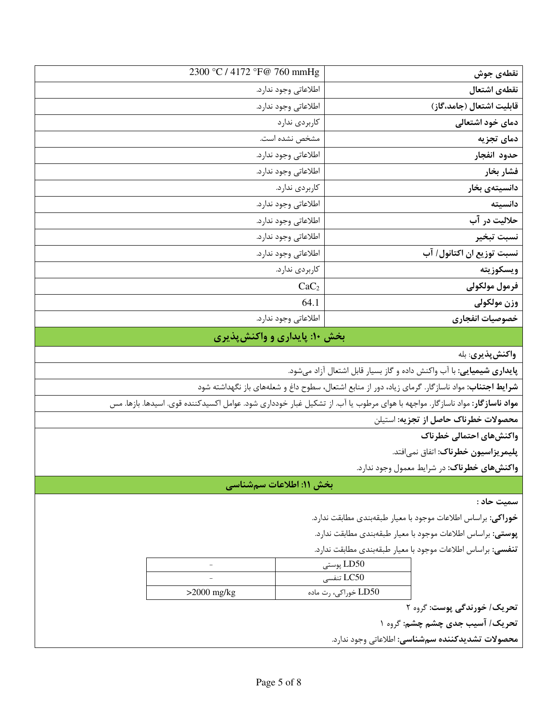| نقطهى جوش                 | 2300 °C / 4172 °F@ 760 mmHg |
|---------------------------|-----------------------------|
| نقطهى اشتعال              | اطلاعاتي وجود ندارد.        |
| قابلیت اشتعال (جامد،گاز)  | اطلاعاتي وجود ندارد.        |
| دمای خود اشتعالی          | كاربردى ندارد               |
| دمای تجزیه                | مشخص نشده است.              |
| حدود انفجار               | اطلاعاتي وجود ندارد.        |
| فشار بخار                 | اطلاعاتي وجود ندارد.        |
| دانسيتەي بخار             | كاربردى ندارد.              |
| دانسيته                   | اطلاعاتي وجود ندارد.        |
| حلاليت در آب              | اطلاعاتي وجود ندارد.        |
| نسبت تبخير                | اطلاعاتي وجود ندارد.        |
| نسبت توزيع ان اكتانول/ آب | اطلاعاتي وجود ندارد.        |
| ويسكوزيته                 | كاربردى ندارد.              |
| فرمول مولكولى             | CaC <sub>2</sub>            |
| وزن مولكولي               | 64.1                        |
| خصوصيات انفجاري           | اطلاعاتي وجود ندارد.        |

## بخش ۱۰: پایداری و واکنش پذیری

واکنشپذیری: بله

**پایداری شیمیایی:** با آب واکنش داده و گاز بسیار قابل اشتعال آزاد میشود.

**شرایط اجتناب:** مواد ناسازگار. گرمای زیاد، دور از منابع اشتعال، سطوح داغ و شعلههای باز نگهداشته شود

**مواد ناسازگار**: مواد ناسازگار. مواجهه با هوای مرطوب یا آب. از تشکیل غبار خودداری شود. عوامل اکسیدکننده قوی. اسیدها. بازها. مس

محصولات خطرناك حاصل از تجزيه: استيلن

واكنشهاى احتمالي خطرناك

پلیمریزاسیون خطرناک: اتفاق نمیافتد.

واکنشهای خطرناک: در شرایط معمول وجود ندارد.

بخش ١١: اطلاعات سمشناسي

سميت حاد :

خوراكي: براساس اطلاعات موجود با معيار طبقهبندي مطابقت ندارد.

**پوستی:** براساس اطلاعات موجود با معیار طبقهبندی مطابقت ندارد.

تنفسی: براساس اطلاعات موجود با معیار طبقهبندی مطابقت ندارد.

| $\overline{\phantom{a}}$ | LD50 پوستى             |
|--------------------------|------------------------|
| $\sim$                   | LC50 تنفسى             |
| $>2000$ mg/kg            | ، LD50 خوراکی، رت ماده |

تحریک/ خورندگی پوست: گروه ۲

تحریک/ آسیب جدی چشم چشم: گروه ۱

**محصولات تشديدكننده سمشناسي:** اطلاعاتي وجود ندارد.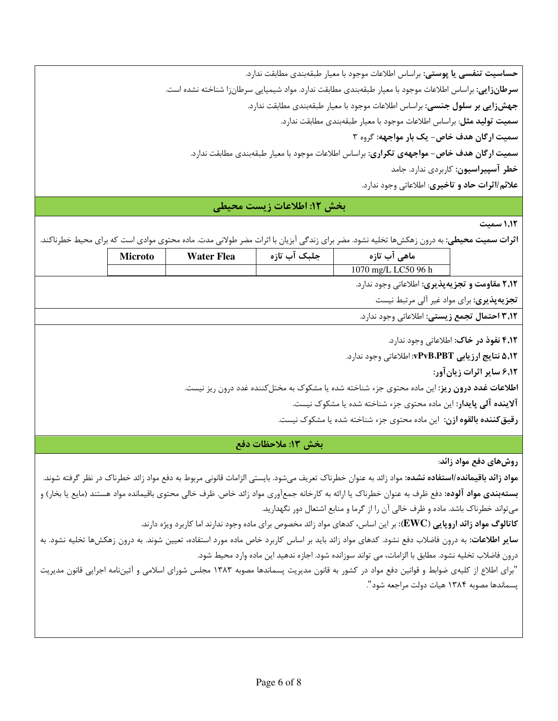حساسيت تنفسي يا پوستي: براساس اطلاعات موجود با معيار طبقهبندي مطابقت ندارد. **سرطانزایی**: براساس اطلاعات موجود با معیار طبقهبندی مطابقت ندارد. مواد شیمیایی سرطانزا شناخته نشده است. جهشزایی بر سلول جنسی: براساس اطلاعات موجود با معیار طبقهبندی مطابقت ندارد. **سمیت تولید مثل**: براساس اطلاعات موجود با معیار طبقهبندی مطابقت ندارد. سمیت ارگان هدف خاص- یک بار مواجهه: گروه ۳ **سمیت ارگان هدف خاص- مواجههی تکراری**: براساس اطلاعات موجود با معیار طبقهبندی مطابقت ندارد. خطر آسپیراسیون: کاربردی ندارد. جامد علائم/اثرات حاد و تاخیری: اطلاعاتی وجود ندارد.

#### بخش ١٢: اطلاعات زيست محيطي

1,1٢ سميت

**اثرات سمیت محیطی:** به درون زهکشها تخلیه نشود. مضر برای زندگی آبزیان با اثرات مضر طولانی مدت. ماده محتوی موادی است که برای محیط خطرناکند.

۲٫۱۲ مقاومت و تجزیهپذیری: اطلاعاتی وجود ندارد.

تجزیهپذیری: برای مواد غیر آلی مرتبط نیست

**۳٬۱۲ احتمال تجمع زیستی:** اطلاعاتی وجود ندارد.

۴٫۱۲ نفوذ در خاک: اطلاعاتی وجود ندارد.

۵٫۱۲ نتایج ارزیابی vPvB،PBT: اطلاعاتی وجود ندارد.

۶٬۱۲ سایر اثرات زیانآور:

**اطلاعات غدد درون ریز**: این ماده محتوی جزء شناخته شده یا مشکوک به مختل کننده غدد درون ریز نیست.

**آلاینده آلی پایدار**: این ماده محتوی جزء شناخته شده یا مشکوک نیست.

**رقیق کننده بالقوه ازن**: این ماده محتوی جزء شناخته شده یا مشکوک نیست.

بخش ١٣: ملاحظات دفع

روشهای دفع مواد زائد:

**مواد زائد باقیمانده/استفاده نشده:** مواد زائد به عنوان خطرناک تعریف میشود. بایستی الزامات قانونی مربوط به دفع مواد زائد خطرناک در نظر گرفته شوند. **بستهبندی مواد آلوده**: دفع ظرف به عنوان خطرناک یا ارائه به کارخانه جمعآوری مواد زائد خاص. ظرف خال<sub>ی</sub> محتوی باقیمانده مواد هستند (مایع یا بخار) و میتواند خطرناک باشد. ماده و ظرف خالی آن را از گرما و منابع اشتعال دور نگهدارید.

**کاتالوگ مواد زائد اروپایی (EWC**): بر این اساس، کدهای مواد زائد مخصوص برای ماده وجود ندارند اما کاربرد ویژه دارند.

**سایر اطلاعات**: به درون فاضلاب دفع نشود. کدهای مواد زائد باید بر اساس کاربرد خاص ماده مورد استفاده، تعیین شوند. به درون زهکشها تخلیه نشود. به درون فاضلاب تخليه نشود. مطابق با الزامات، مي تواند سوزانده شود. اجازه ندهيد اين ماده وارد محيط شود.

"برای اطلاع از کلیهی ضوابط و قوانین دفع مواد در کشور به قانون مدیریت پسماندها مصوبه ۱۳۸۳ مجلس شورای اسلامی و آئیننامه اجرایی قانون مدیریت يسماندها مصوبه ١٣٨۴ هيات دولت مراجعه شود".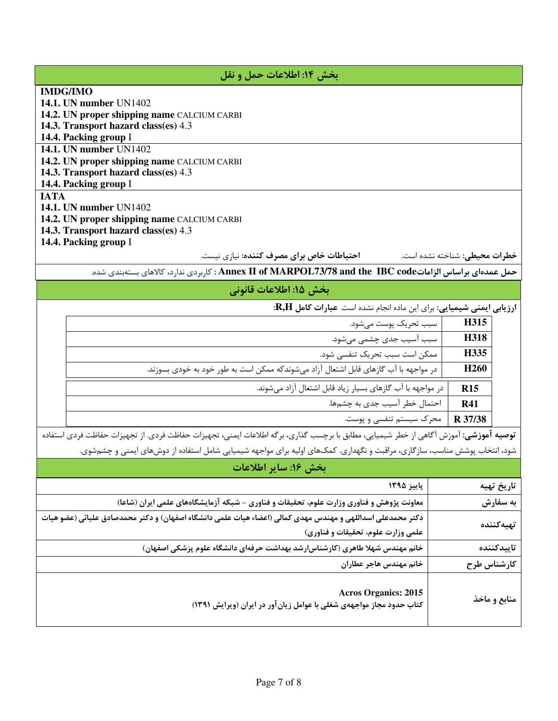| بخش ١٤: اطلاعات حمل و نقل                                                                                                                                                                                                                                                                                                                                                                                                                                                                                                                                                                                                                                        |                                                                          |                        |
|------------------------------------------------------------------------------------------------------------------------------------------------------------------------------------------------------------------------------------------------------------------------------------------------------------------------------------------------------------------------------------------------------------------------------------------------------------------------------------------------------------------------------------------------------------------------------------------------------------------------------------------------------------------|--------------------------------------------------------------------------|------------------------|
| <b>IMDG/IMO</b><br>14.1. UN number UN1402<br>14.2. UN proper shipping name CALCIUM CARBI<br>14.3. Transport hazard class(es) 4.3<br>14.4. Packing group I                                                                                                                                                                                                                                                                                                                                                                                                                                                                                                        |                                                                          |                        |
| 14.1. UN number UN1402<br>14.2. UN proper shipping name CALCIUM CARBI<br>14.3. Transport hazard class(es) 4.3<br>14.4. Packing group I                                                                                                                                                                                                                                                                                                                                                                                                                                                                                                                           |                                                                          |                        |
| <b>IATA</b><br><b>14.1. UN number UN1402</b><br>14.2. UN proper shipping name CALCIUM CARBI<br>14.3. Transport hazard class(es) 4.3<br>14.4. Packing group I<br>احتیاطات خاص برای مصرف کننده: نیازی نیست.                                                                                                                                                                                                                                                                                                                                                                                                                                                        | خطرات محيطى: شناخته نشده است.                                            |                        |
| حمل عمدهای براساس الزاماتThes : Annex II of MARPOL73/78 and the IBC code : كاربردی ندارد، كالاهای بستهبندی شده.                                                                                                                                                                                                                                                                                                                                                                                                                                                                                                                                                  |                                                                          |                        |
| بخش ۱۵: اطلاعات قانونی                                                                                                                                                                                                                                                                                                                                                                                                                                                                                                                                                                                                                                           |                                                                          |                        |
| ارزیابی ایمنی شیمیایی: برای این ماده انجام نشده است. عبارات کامل R,H:<br>سبب تحريک پوست مي شود.<br>سبب آسیب جدی چشمی میشود.<br>ممكن است سبب تحريك تنفسي شود.<br>در مواجهه با آب گازهای قابل اشتعال آزاد میشوندکه ممکن است به طور خود به خودی بسوزند.<br>در مواجهه با آب گازهای بسیار زیاد قابل اشتعال آزاد می شوند.<br>احتمال خطر آسیب جدی به چشمها.<br>محرک سیستم تنفسی و پوست.<br>ت <b>وصیه آموزشی</b> : آموزش آگاهی از خطر شیمیایی، مطابق با برچسب گذاری، برگه اطلاعات ایمنی، تجهیزات حفاظت فردی. از تجهیزات حفاظت فردی استفاده<br>شود، انتخاب پوشش مناسب، سازگاری، مراقبت و نگهداری. کمکهای اولیه برای مواجهه شیمیایی شامل استفاده از دوشهای ایمنی و چشمشوی. | H315<br>H318<br>H335<br>H <sub>260</sub><br>R15<br><b>R41</b><br>R 37/38 |                        |
| بخش ۱۶: سایر اطلاعات                                                                                                                                                                                                                                                                                                                                                                                                                                                                                                                                                                                                                                             |                                                                          |                        |
| پاييز ۱۳۹۵<br>معاونت پژوهش و فناوری وزارت علوم، تحقیقات و فناوری – شبکه آزمایشگاههای علمی ایران (شاعا)                                                                                                                                                                                                                                                                                                                                                                                                                                                                                                                                                           |                                                                          | تاريخ تهيه<br>به سفارش |
| دکتر محمدعلی اسداللهی و مهندس مهدی کمالی (اعضاء هیات علمی دانشگاه اصفهان) و دکتر محمدصادق علیائی (عضو هیات<br>علمی وزارت علوم، تحقیقات و فناوری)                                                                                                                                                                                                                                                                                                                                                                                                                                                                                                                 |                                                                          | تهيهكننده              |
| خانم مهندس شهلا طاهری (کارشناس رشد بهداشت حرفهای دانشگاه علوم پزشکی اصفهان)                                                                                                                                                                                                                                                                                                                                                                                                                                                                                                                                                                                      |                                                                          | تاييدكننده             |
| خانم مهندس هاجر عطاران                                                                                                                                                                                                                                                                                                                                                                                                                                                                                                                                                                                                                                           | كارشناس طرح                                                              |                        |
| <b>Acros Organics: 2015</b><br>کتاب حدود مجاز مواجههی شغلی با عوامل زیانآور در ایران (ویرایش ۱۳۹۱)                                                                                                                                                                                                                                                                                                                                                                                                                                                                                                                                                               |                                                                          | منابع و ماخذ           |